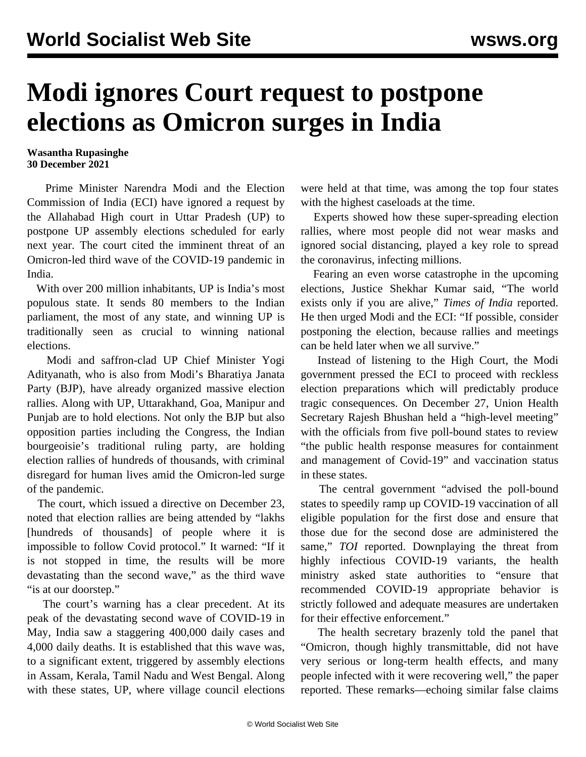## **Modi ignores Court request to postpone elections as Omicron surges in India**

## **Wasantha Rupasinghe 30 December 2021**

 Prime Minister Narendra Modi and the Election Commission of India (ECI) have ignored a request by the Allahabad High court in Uttar Pradesh (UP) to postpone UP assembly elections scheduled for early next year. The court cited the imminent threat of an Omicron-led third wave of the COVID-19 pandemic in India.

 With over 200 million inhabitants, UP is India's most populous state. It sends 80 members to the Indian parliament, the most of any state, and winning UP is traditionally seen as crucial to winning national elections.

 Modi and saffron-clad UP Chief Minister Yogi Adityanath, who is also from Modi's Bharatiya Janata Party (BJP), have already organized massive election rallies. Along with UP, Uttarakhand, Goa, Manipur and Punjab are to hold elections. Not only the BJP but also opposition parties including the Congress, the Indian bourgeoisie's traditional ruling party, are holding election rallies of hundreds of thousands, with criminal disregard for human lives amid the Omicron-led surge of the pandemic.

 The court, which issued a directive on December 23, noted that election rallies are being attended by "lakhs [hundreds of thousands] of people where it is impossible to follow Covid protocol." It warned: "If it is not stopped in time, the results will be more devastating than the second wave," as the third wave "is at our doorstep."

 The court's warning has a clear precedent. At its peak of the devastating second wave of COVID-19 in May, India saw a staggering 400,000 daily cases and 4,000 daily deaths. It is established that this wave was, to a significant extent, triggered by assembly elections in Assam, Kerala, Tamil Nadu and West Bengal. Along with these states, UP, where village council elections

were held at that time, was among the top four states with the highest caseloads at the time.

 Experts showed how these super-spreading election rallies, where most people did not wear masks and ignored social distancing, played a key role to spread the coronavirus, infecting millions.

 Fearing an even worse catastrophe in the upcoming elections, Justice Shekhar Kumar said, "The world exists only if you are alive," *Times of India* reported. He then urged Modi and the ECI: "If possible, consider postponing the election, because rallies and meetings can be held later when we all survive."

 Instead of listening to the High Court, the Modi government pressed the ECI to proceed with reckless election preparations which will predictably produce tragic consequences. On December 27, Union Health Secretary Rajesh Bhushan held a "high-level meeting" with the officials from five poll-bound states to review "the public health response measures for containment and management of Covid-19" and vaccination status in these states.

 The central government "advised the poll-bound states to speedily ramp up COVID-19 vaccination of all eligible population for the first dose and ensure that those due for the second dose are administered the same," *TOI* reported. Downplaying the threat from highly infectious COVID-19 variants, the health ministry asked state authorities to "ensure that recommended COVID-19 appropriate behavior is strictly followed and adequate measures are undertaken for their effective enforcement."

 The health secretary brazenly told the panel that "Omicron, though highly transmittable, did not have very serious or long-term health effects, and many people infected with it were recovering well," the paper reported. These remarks—echoing similar false claims